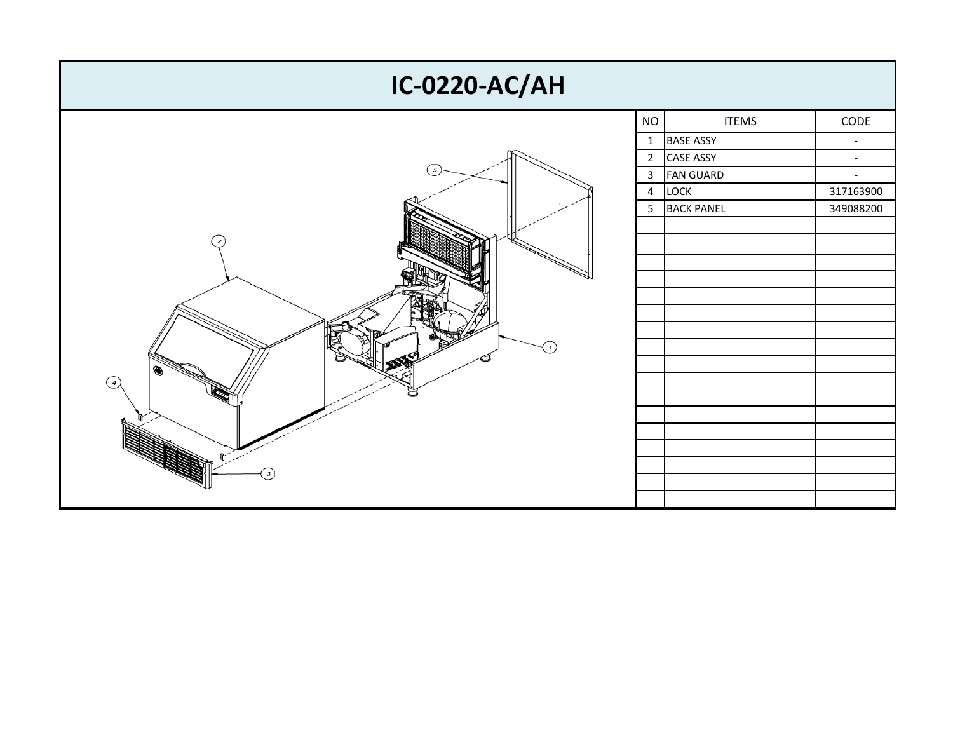| <b>IC-0220-AC/AH</b> |                |                  |                          |  |  |  |
|----------------------|----------------|------------------|--------------------------|--|--|--|
|                      | <b>NO</b>      | <b>ITEMS</b>     | $\sf{CODE}$              |  |  |  |
| 5                    |                | 1 BASE ASSY      | $\overline{\phantom{a}}$ |  |  |  |
|                      | $\mathbf{2}$   | <b>CASE ASSY</b> | $\blacksquare$           |  |  |  |
|                      | $\mathbf{3}$   | <b>FAN GUARD</b> | $\overline{\phantom{a}}$ |  |  |  |
|                      | $\overline{4}$ | LOCK             | 317163900                |  |  |  |
|                      |                | 5 BACK PANEL     | 349088200                |  |  |  |
|                      |                |                  |                          |  |  |  |
| $\overline{2}$       |                |                  |                          |  |  |  |
|                      |                |                  |                          |  |  |  |
|                      |                |                  |                          |  |  |  |
|                      |                |                  |                          |  |  |  |
|                      |                |                  |                          |  |  |  |
|                      |                |                  |                          |  |  |  |
| $\mathbf{I}$         |                |                  |                          |  |  |  |
| ◉                    |                |                  |                          |  |  |  |
| $\left( 4 \right)$   |                |                  |                          |  |  |  |
|                      |                |                  |                          |  |  |  |
|                      |                |                  |                          |  |  |  |
|                      |                |                  |                          |  |  |  |
|                      |                |                  |                          |  |  |  |
| $\boldsymbol{\beta}$ |                |                  |                          |  |  |  |
|                      |                |                  |                          |  |  |  |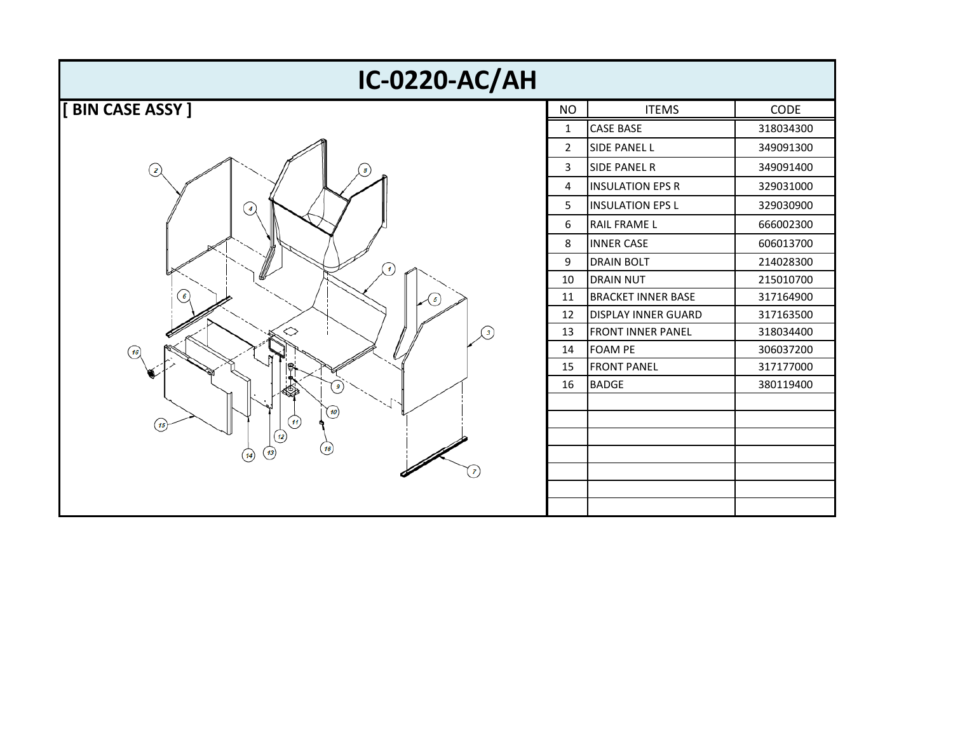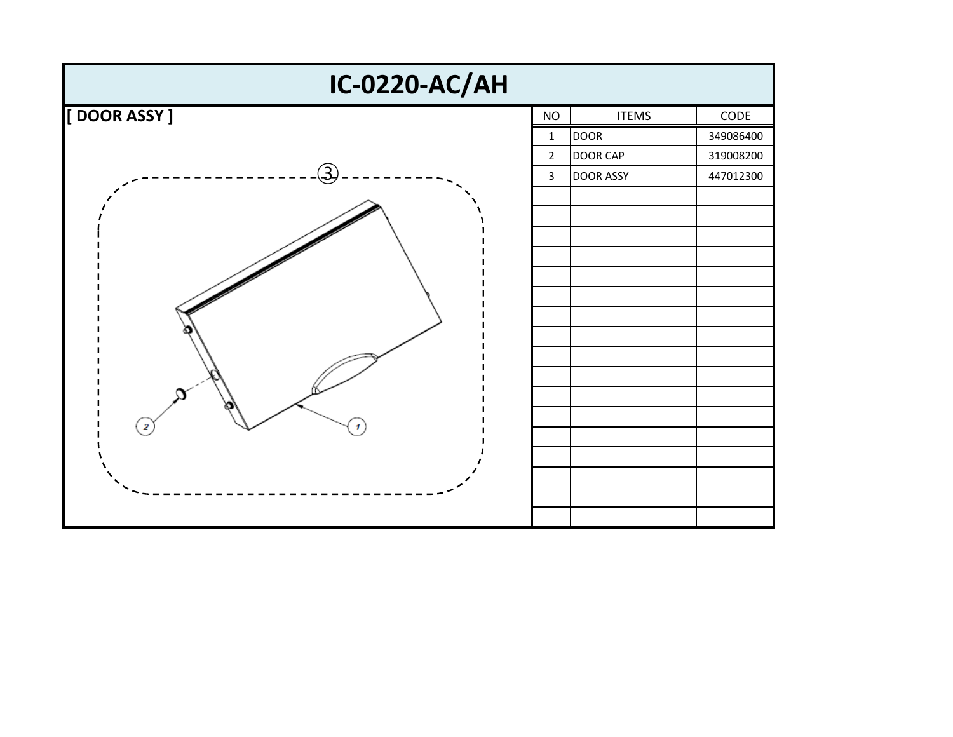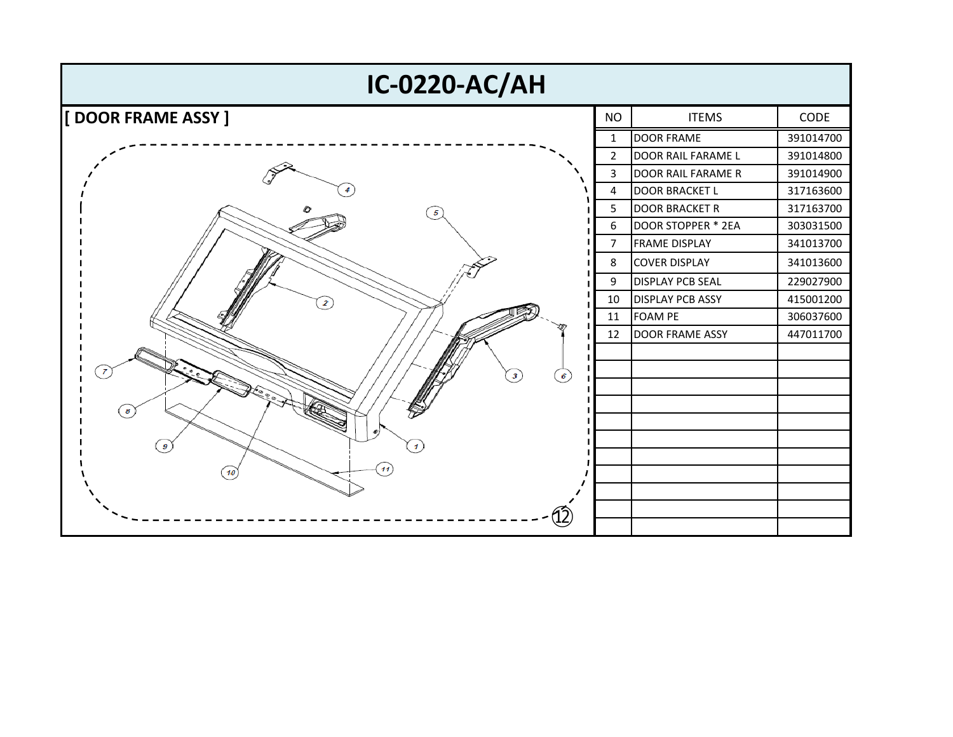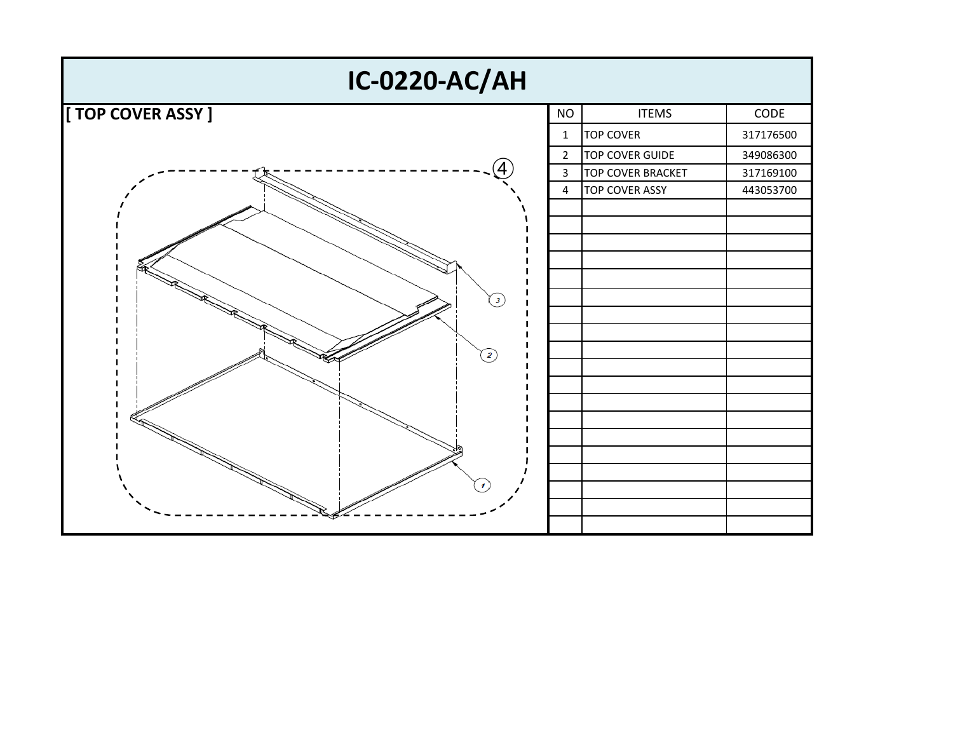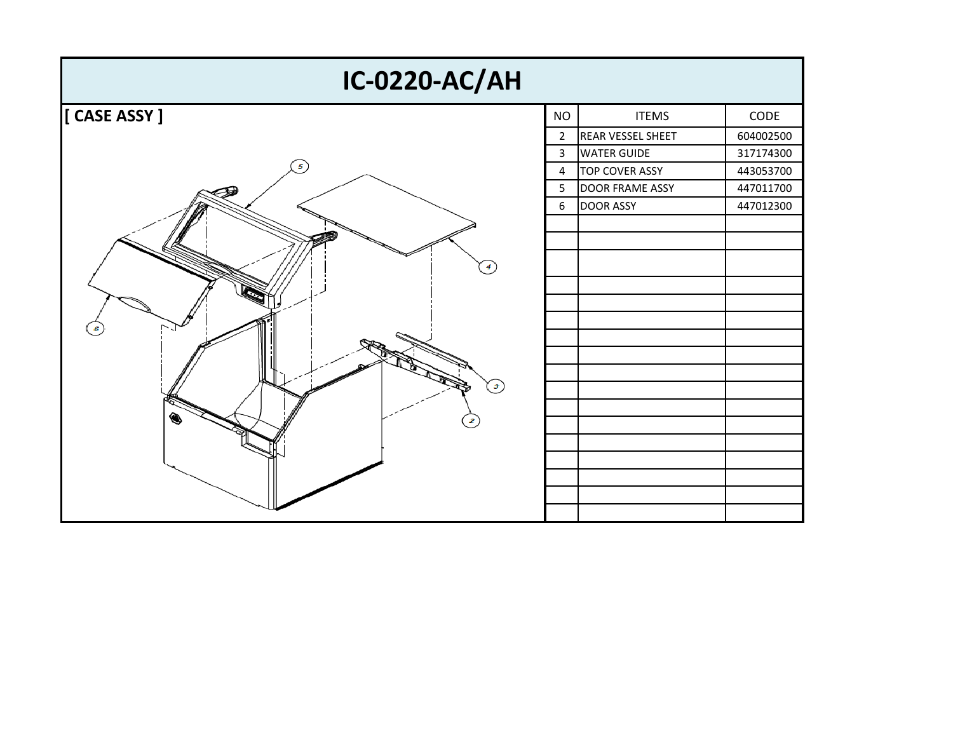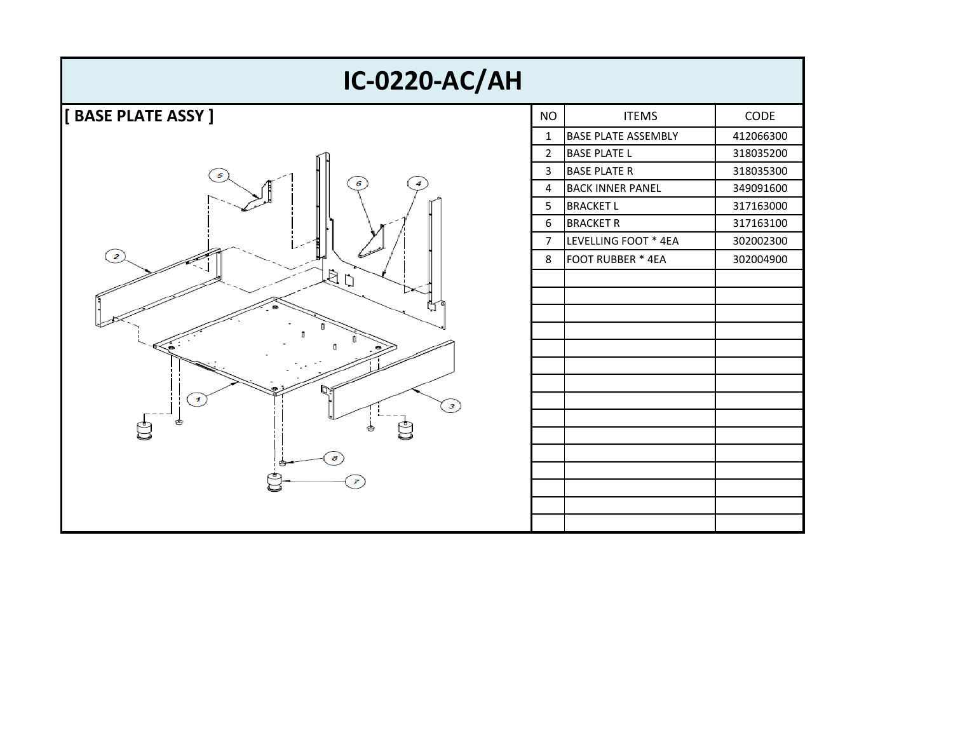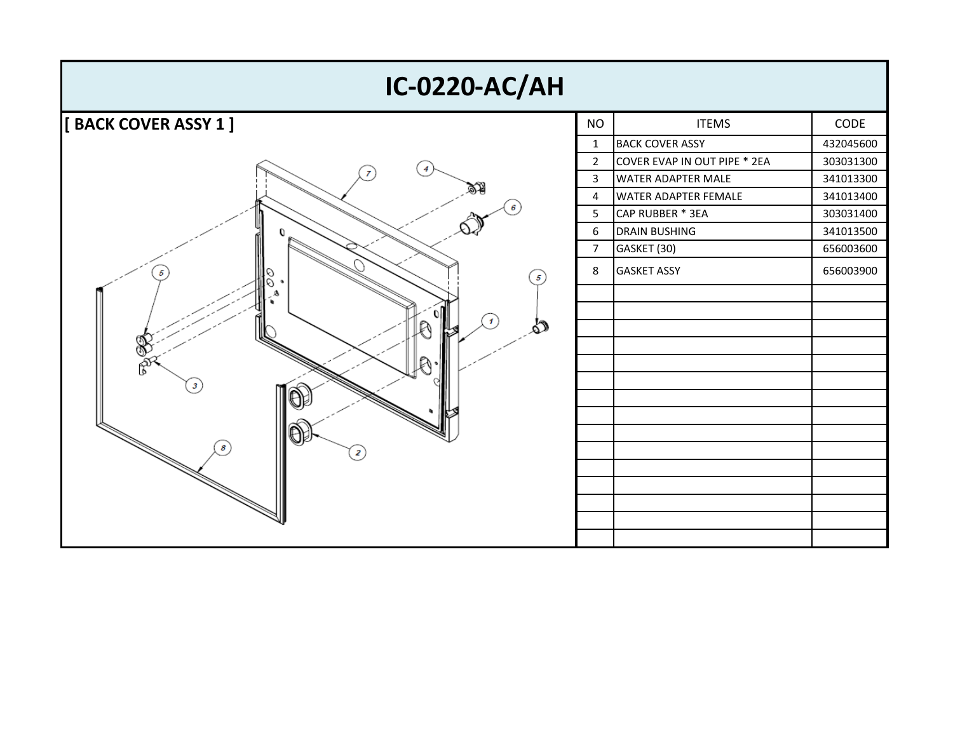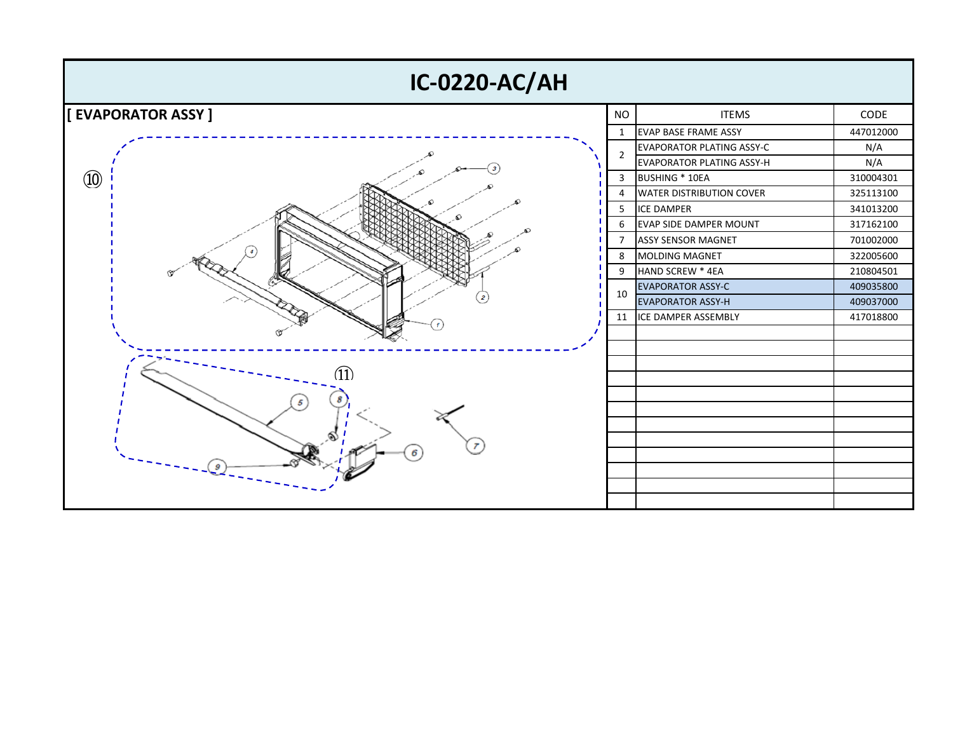| <b>IC-0220-AC/AH</b>     |                |                                  |           |  |  |  |
|--------------------------|----------------|----------------------------------|-----------|--|--|--|
| <b>EVAPORATOR ASSY ]</b> | <b>NO</b>      | <b>ITEMS</b>                     | CODE      |  |  |  |
|                          | $\mathbf{1}$   | <b>EVAP BASE FRAME ASSY</b>      | 447012000 |  |  |  |
|                          |                | <b>EVAPORATOR PLATING ASSY-C</b> | N/A       |  |  |  |
|                          | 2              | <b>EVAPORATOR PLATING ASSY-H</b> | N/A       |  |  |  |
| $\circled{10}$           | 3<br>4<br>5    | BUSHING * 10EA                   | 310004301 |  |  |  |
|                          |                | <b>WATER DISTRIBUTION COVER</b>  | 325113100 |  |  |  |
|                          |                | <b>ICE DAMPER</b>                | 341013200 |  |  |  |
|                          | 6              | <b>EVAP SIDE DAMPER MOUNT</b>    | 317162100 |  |  |  |
|                          | $\overline{7}$ | <b>ASSY SENSOR MAGNET</b>        | 701002000 |  |  |  |
|                          | 8              | <b>MOLDING MAGNET</b>            | 322005600 |  |  |  |
|                          | 9              | HAND SCREW * 4EA                 | 210804501 |  |  |  |
|                          | 10             | <b>EVAPORATOR ASSY-C</b>         | 409035800 |  |  |  |
|                          |                | <b>EVAPORATOR ASSY-H</b>         | 409037000 |  |  |  |
|                          |                | 11 ICE DAMPER ASSEMBLY           | 417018800 |  |  |  |
|                          |                |                                  |           |  |  |  |
|                          |                |                                  |           |  |  |  |
| (11)                     |                |                                  |           |  |  |  |
|                          |                |                                  |           |  |  |  |
|                          |                |                                  |           |  |  |  |
|                          |                |                                  |           |  |  |  |
|                          |                |                                  |           |  |  |  |
|                          |                |                                  |           |  |  |  |
|                          |                |                                  |           |  |  |  |
|                          |                |                                  |           |  |  |  |
|                          |                |                                  |           |  |  |  |
|                          |                |                                  |           |  |  |  |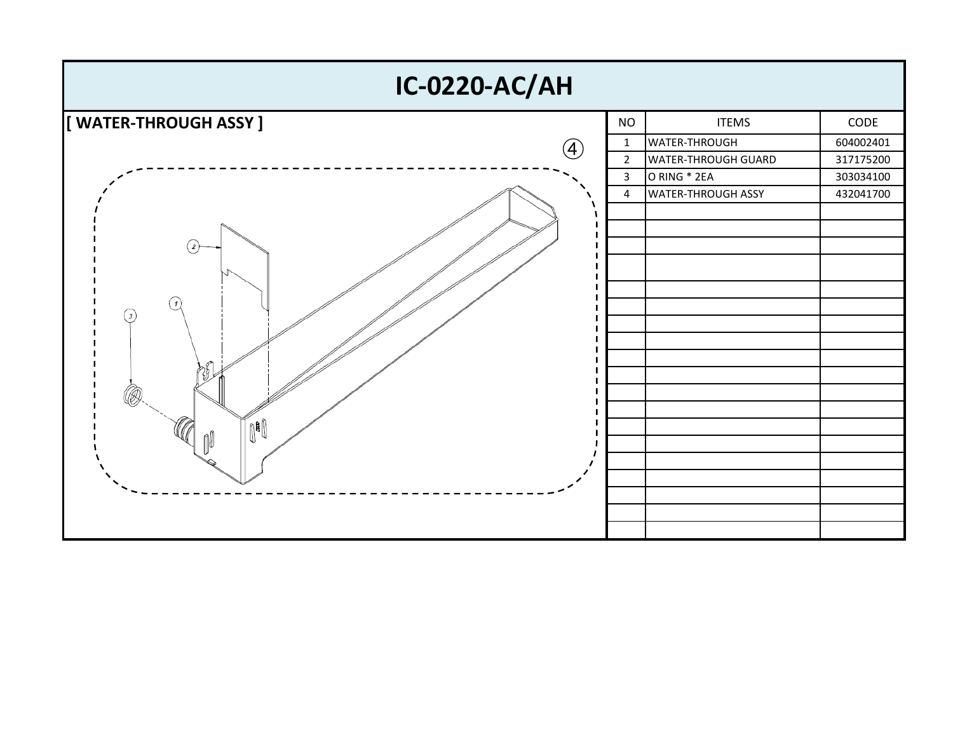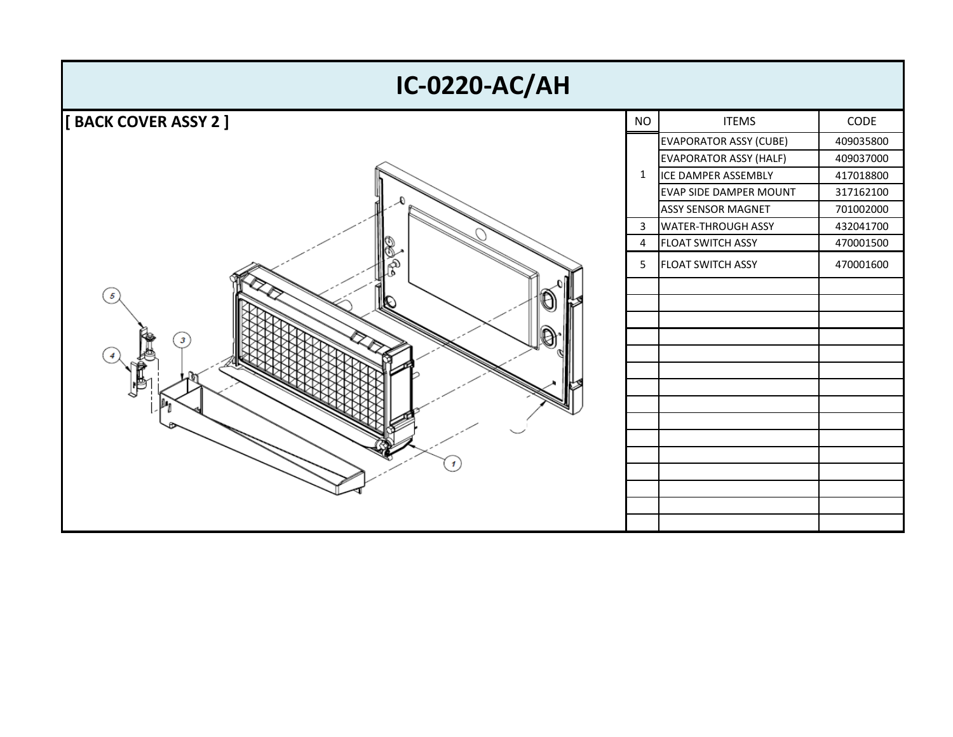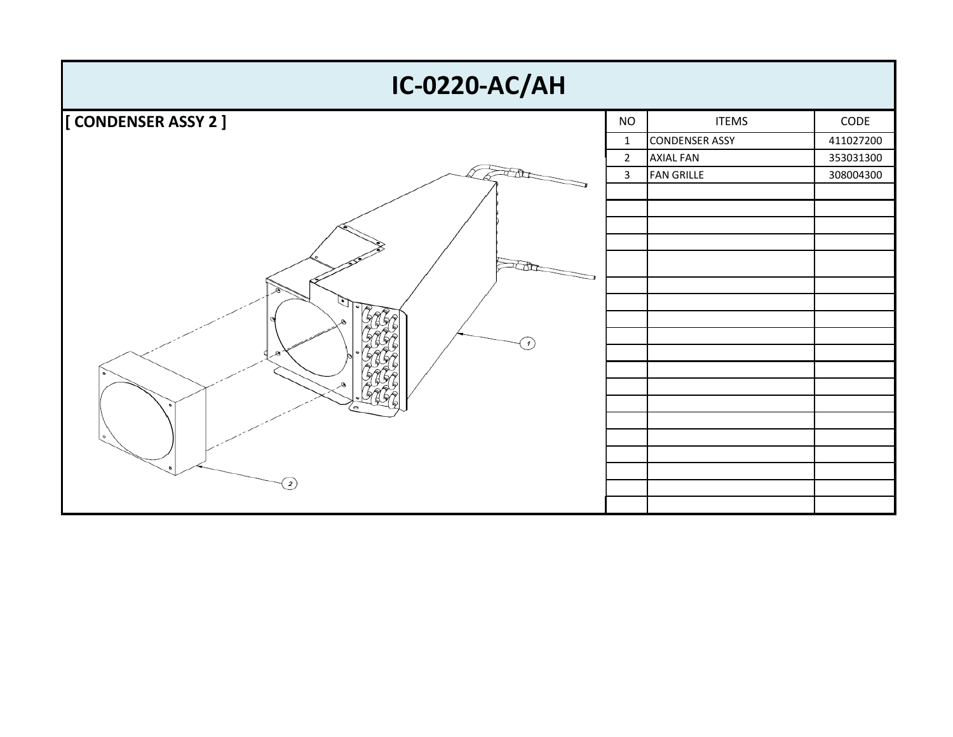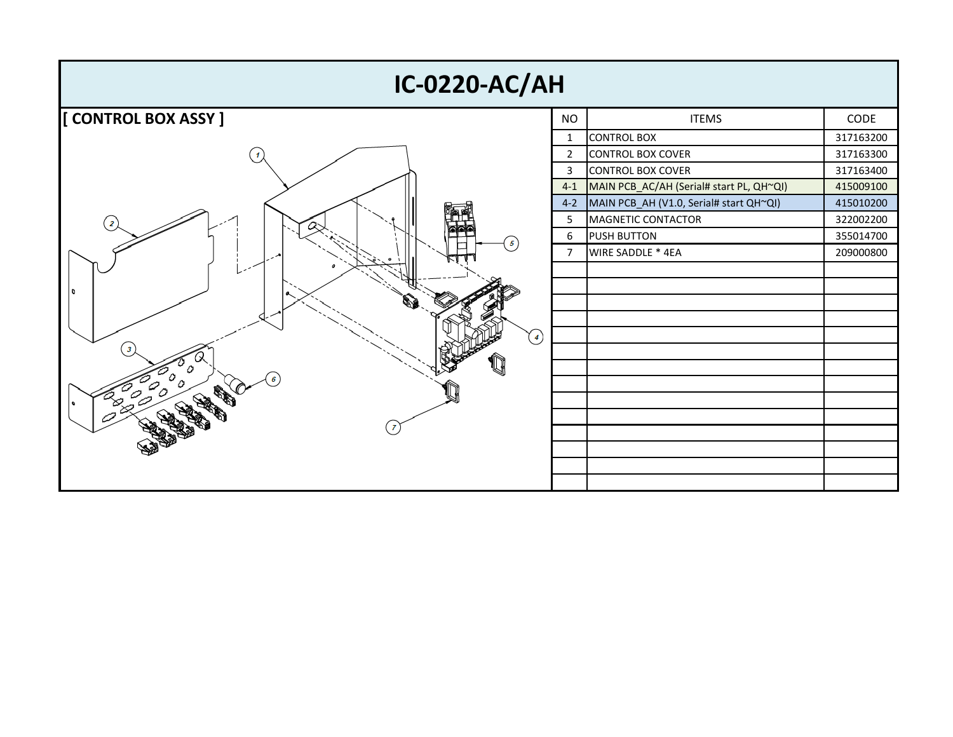| <b>IC-0220-AC/AH</b> |                |                                          |           |  |  |  |
|----------------------|----------------|------------------------------------------|-----------|--|--|--|
| [CONTROL BOX ASSY ]  | <b>NO</b>      | <b>ITEMS</b>                             | CODE      |  |  |  |
|                      | $\mathbf{1}$   | <b>CONTROL BOX</b>                       | 317163200 |  |  |  |
|                      | $\overline{2}$ | CONTROL BOX COVER                        | 317163300 |  |  |  |
|                      | 3              | <b>CONTROL BOX COVER</b>                 | 317163400 |  |  |  |
|                      | $4 - 1$        | MAIN PCB_AC/AH (Serial# start PL, QH~QI) | 415009100 |  |  |  |
|                      | $4 - 2$        | MAIN PCB_AH (V1.0, Serial# start QH~QI)  | 415010200 |  |  |  |
|                      | 5              | MAGNETIC CONTACTOR                       | 322002200 |  |  |  |
| 5                    | 6              | <b>PUSH BUTTON</b>                       | 355014700 |  |  |  |
|                      | $\overline{7}$ | WIRE SADDLE * 4EA                        | 209000800 |  |  |  |
|                      |                |                                          |           |  |  |  |
| ۱٥                   |                |                                          |           |  |  |  |
|                      |                |                                          |           |  |  |  |
|                      |                |                                          |           |  |  |  |
| $\left( 4\right)$    |                |                                          |           |  |  |  |
|                      |                |                                          |           |  |  |  |
|                      |                |                                          |           |  |  |  |
|                      |                |                                          |           |  |  |  |
|                      |                |                                          |           |  |  |  |
|                      |                |                                          |           |  |  |  |
|                      |                |                                          |           |  |  |  |
|                      |                |                                          |           |  |  |  |
|                      |                |                                          |           |  |  |  |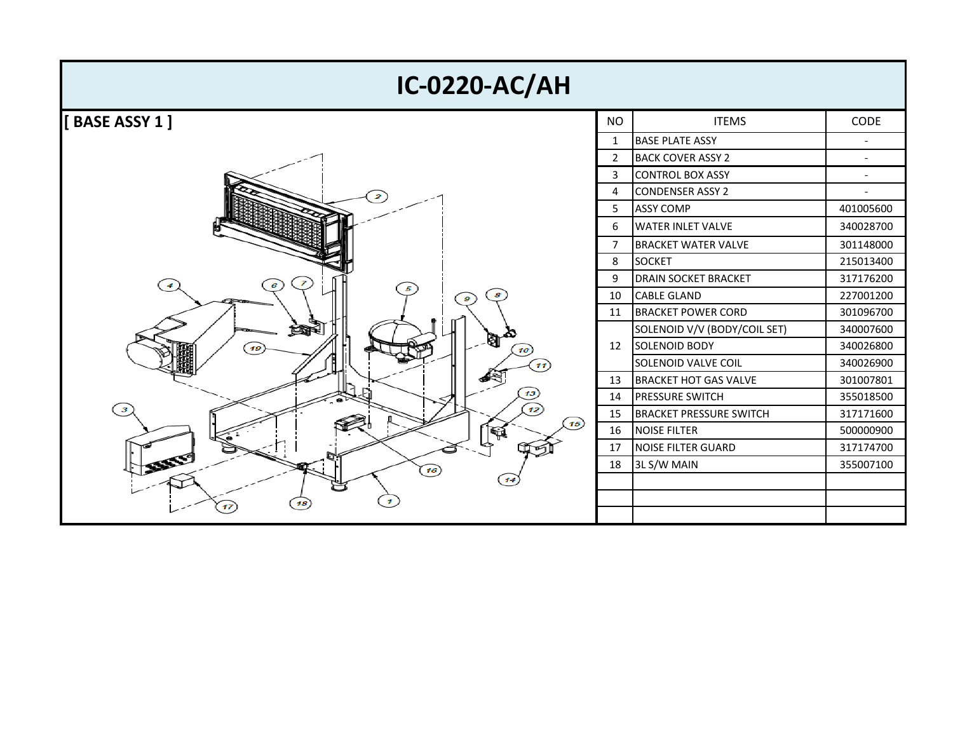| <b>IC-0220-AC/AH</b>            |                          |                                |             |
|---------------------------------|--------------------------|--------------------------------|-------------|
| <b>BASE ASSY 1]</b>             | <b>NO</b>                | <b>ITEMS</b>                   | <b>CODE</b> |
|                                 | 1                        | <b>BASE PLATE ASSY</b>         |             |
| $\boldsymbol{z}$<br>z<br>8<br>9 | $\overline{2}$           | <b>BACK COVER ASSY 2</b>       | $\sim$      |
|                                 | 3                        | <b>CONTROL BOX ASSY</b>        |             |
|                                 | 4                        | <b>CONDENSER ASSY 2</b>        |             |
|                                 | 5<br>6<br>$\overline{7}$ | <b>ASSY COMP</b>               | 401005600   |
|                                 |                          | <b>WATER INLET VALVE</b>       | 340028700   |
|                                 |                          | <b>BRACKET WATER VALVE</b>     | 301148000   |
|                                 | 8                        | <b>SOCKET</b>                  | 215013400   |
|                                 | 9                        | <b>DRAIN SOCKET BRACKET</b>    | 317176200   |
|                                 | 10                       | <b>CABLE GLAND</b>             | 227001200   |
|                                 | 11                       | <b>BRACKET POWER CORD</b>      | 301096700   |
| ≤Ω                              |                          | SOLENOID V/V (BODY/COIL SET)   | 340007600   |
| M<br>19<br>10<br>11             | 12                       | <b>SOLENOID BODY</b>           | 340026800   |
|                                 |                          | SOLENOID VALVE COIL            | 340026900   |
|                                 | 13                       | <b>BRACKET HOT GAS VALVE</b>   | 301007801   |
|                                 | 14                       | <b>PRESSURE SWITCH</b>         | 355018500   |
| 12<br>3                         | 15                       | <b>BRACKET PRESSURE SWITCH</b> | 317171600   |
| 15                              | 16                       | <b>NOISE FILTER</b>            | 500000900   |
|                                 | 17                       | <b>NOISE FILTER GUARD</b>      | 317174700   |
| 333159<br>16                    | 18                       | 3L S/W MAIN                    | 355007100   |
|                                 |                          |                                |             |
| 18<br>17                        |                          |                                |             |
|                                 |                          |                                |             |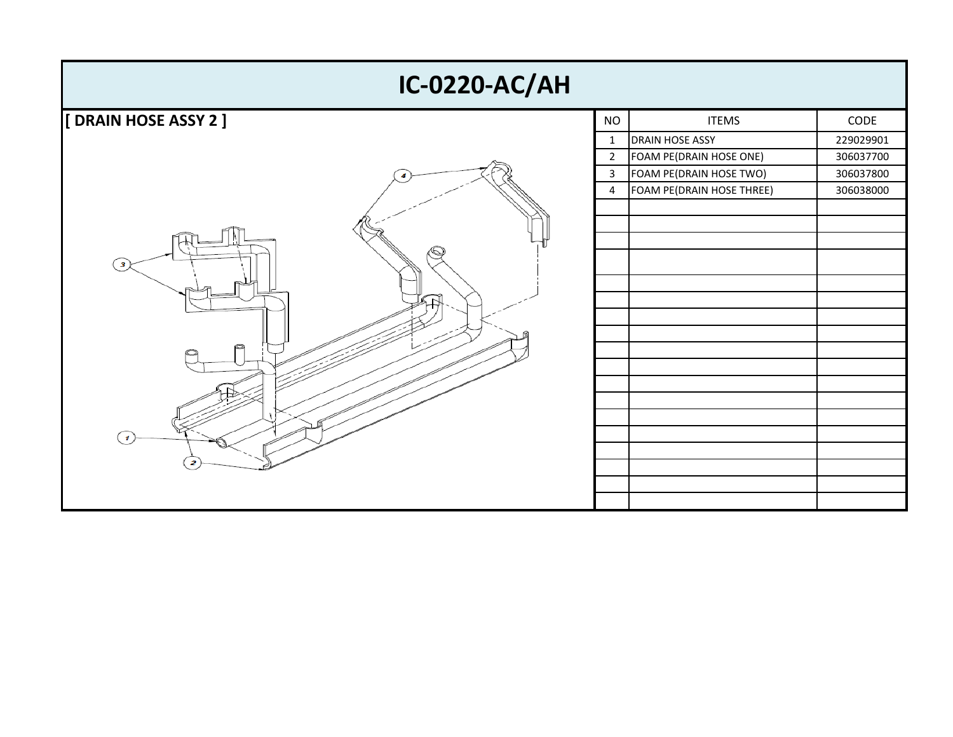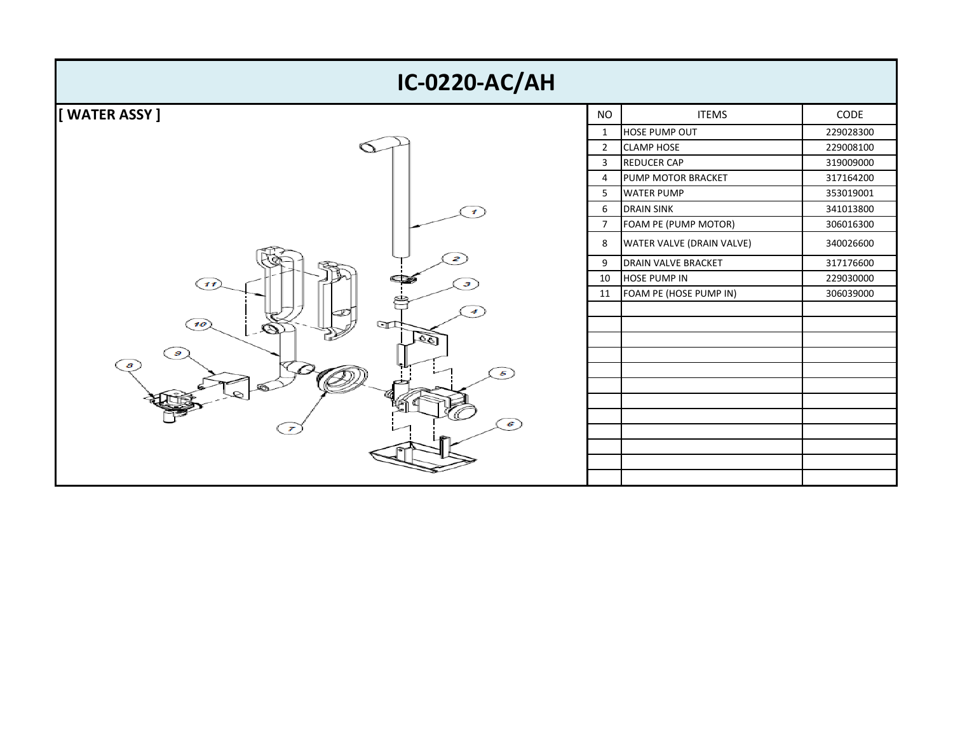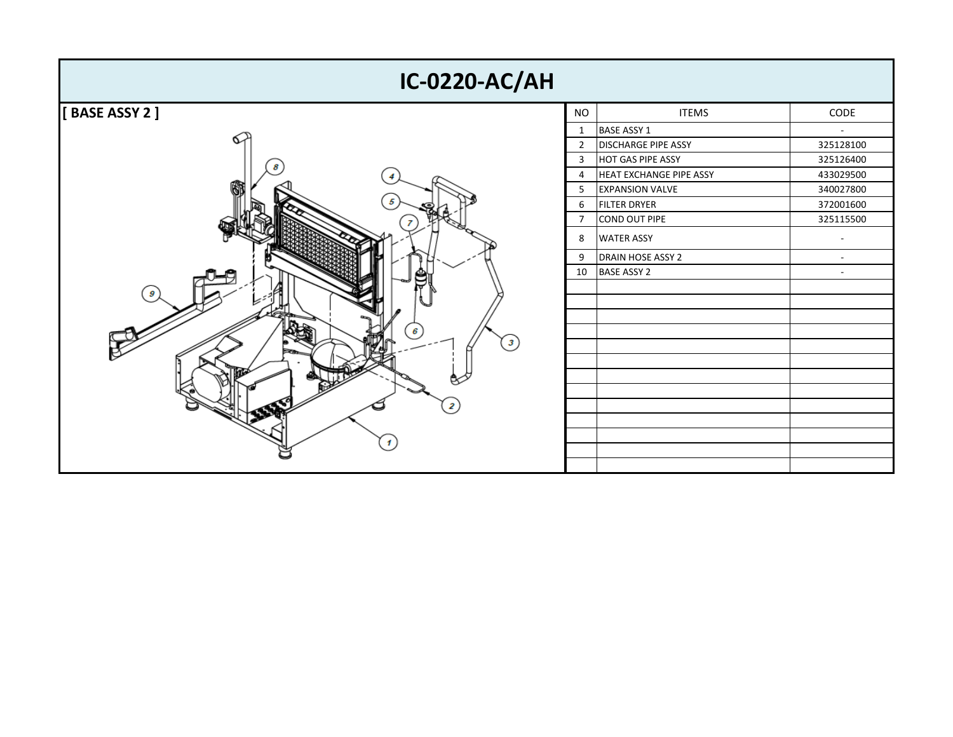